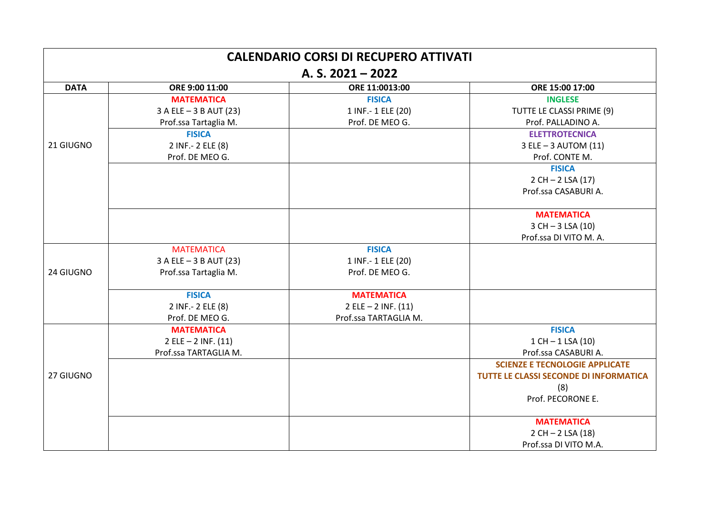| <b>CALENDARIO CORSI DI RECUPERO ATTIVATI</b> |                         |                         |                                        |  |  |  |  |
|----------------------------------------------|-------------------------|-------------------------|----------------------------------------|--|--|--|--|
| A. S. $2021 - 2022$                          |                         |                         |                                        |  |  |  |  |
| <b>DATA</b>                                  | ORE 9:00 11:00          | ORE 11:0013:00          | ORE 15:00 17:00                        |  |  |  |  |
|                                              | <b>MATEMATICA</b>       | <b>FISICA</b>           | <b>INGLESE</b>                         |  |  |  |  |
|                                              | 3 A ELE - 3 B AUT (23)  | 1 INF.-1 ELE (20)       | TUTTE LE CLASSI PRIME (9)              |  |  |  |  |
|                                              | Prof.ssa Tartaglia M.   | Prof. DE MEO G.         | Prof. PALLADINO A.                     |  |  |  |  |
|                                              | <b>FISICA</b>           |                         | <b>ELETTROTECNICA</b>                  |  |  |  |  |
| 21 GIUGNO                                    | 2 INF.- 2 ELE (8)       |                         | $3$ ELE $-3$ AUTOM (11)                |  |  |  |  |
|                                              | Prof. DE MEO G.         |                         | Prof. CONTE M.                         |  |  |  |  |
|                                              |                         |                         | <b>FISICA</b>                          |  |  |  |  |
|                                              |                         |                         | $2 CH - 2 LSA (17)$                    |  |  |  |  |
|                                              |                         |                         | Prof.ssa CASABURI A.                   |  |  |  |  |
|                                              |                         |                         | <b>MATEMATICA</b>                      |  |  |  |  |
|                                              |                         |                         | $3 CH - 3 LSA (10)$                    |  |  |  |  |
|                                              |                         |                         | Prof.ssa DI VITO M. A.                 |  |  |  |  |
|                                              | <b>MATEMATICA</b>       | <b>FISICA</b>           |                                        |  |  |  |  |
|                                              | 3 A ELE - 3 B AUT (23)  | 1 INF.- 1 ELE (20)      |                                        |  |  |  |  |
| 24 GIUGNO                                    | Prof.ssa Tartaglia M.   | Prof. DE MEO G.         |                                        |  |  |  |  |
|                                              | <b>FISICA</b>           | <b>MATEMATICA</b>       |                                        |  |  |  |  |
|                                              | 2 INF.- 2 ELE (8)       | $2$ ELE $- 2$ INF. (11) |                                        |  |  |  |  |
|                                              | Prof. DE MEO G.         | Prof.ssa TARTAGLIA M.   |                                        |  |  |  |  |
|                                              | <b>MATEMATICA</b>       |                         | <b>FISICA</b>                          |  |  |  |  |
|                                              | $2$ ELE $- 2$ INF. (11) |                         | $1 CH - 1 LSA(10)$                     |  |  |  |  |
|                                              | Prof.ssa TARTAGLIA M.   |                         | Prof.ssa CASABURI A.                   |  |  |  |  |
|                                              |                         |                         | <b>SCIENZE E TECNOLOGIE APPLICATE</b>  |  |  |  |  |
| 27 GIUGNO                                    |                         |                         | TUTTE LE CLASSI SECONDE DI INFORMATICA |  |  |  |  |
|                                              |                         |                         | (8)                                    |  |  |  |  |
|                                              |                         |                         | Prof. PECORONE E.                      |  |  |  |  |
|                                              |                         |                         | <b>MATEMATICA</b>                      |  |  |  |  |
|                                              |                         |                         | $2 CH - 2 LSA(18)$                     |  |  |  |  |
|                                              |                         |                         | Prof.ssa DI VITO M.A.                  |  |  |  |  |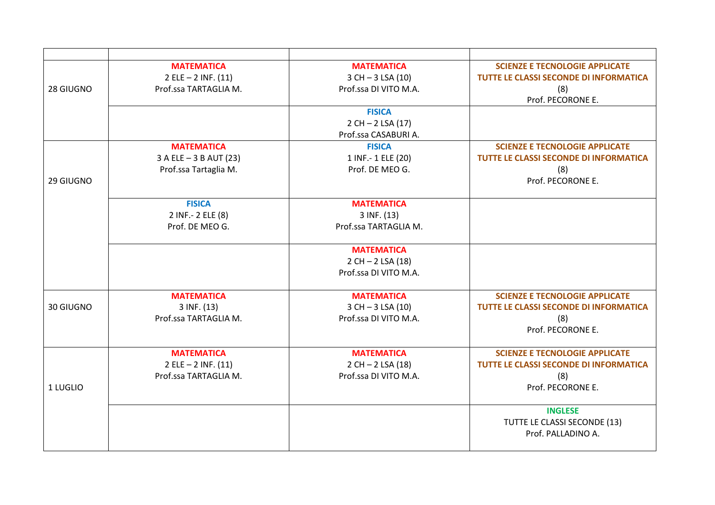|           | <b>MATEMATICA</b>       | <b>MATEMATICA</b>     | <b>SCIENZE E TECNOLOGIE APPLICATE</b>  |
|-----------|-------------------------|-----------------------|----------------------------------------|
|           | $2$ ELE $- 2$ INF. (11) | $3 CH - 3 LSA (10)$   | TUTTE LE CLASSI SECONDE DI INFORMATICA |
| 28 GIUGNO | Prof.ssa TARTAGLIA M.   | Prof.ssa DI VITO M.A. | (8)                                    |
|           |                         |                       | Prof. PECORONE E.                      |
|           |                         | <b>FISICA</b>         |                                        |
|           |                         | $2 CH - 2 LSA (17)$   |                                        |
|           |                         | Prof.ssa CASABURI A.  |                                        |
|           | <b>MATEMATICA</b>       | <b>FISICA</b>         | <b>SCIENZE E TECNOLOGIE APPLICATE</b>  |
|           | 3 A ELE - 3 B AUT (23)  | 1 INF.- 1 ELE (20)    | TUTTE LE CLASSI SECONDE DI INFORMATICA |
|           | Prof.ssa Tartaglia M.   | Prof. DE MEO G.       | (8)                                    |
| 29 GIUGNO |                         |                       | Prof. PECORONE E.                      |
|           | <b>FISICA</b>           | <b>MATEMATICA</b>     |                                        |
|           | 2 INF.- 2 ELE (8)       | $3$ INF. $(13)$       |                                        |
|           | Prof. DE MEO G.         | Prof.ssa TARTAGLIA M. |                                        |
|           |                         | <b>MATEMATICA</b>     |                                        |
|           |                         | $2 CH - 2 LSA(18)$    |                                        |
|           |                         | Prof.ssa DI VITO M.A. |                                        |
|           | <b>MATEMATICA</b>       | <b>MATEMATICA</b>     | <b>SCIENZE E TECNOLOGIE APPLICATE</b>  |
| 30 GIUGNO | 3 INF. (13)             | $3$ CH $- 3$ LSA (10) | TUTTE LE CLASSI SECONDE DI INFORMATICA |
|           | Prof.ssa TARTAGLIA M.   | Prof.ssa DI VITO M.A. | (8)                                    |
|           |                         |                       | Prof. PECORONE E.                      |
|           | <b>MATEMATICA</b>       | <b>MATEMATICA</b>     | <b>SCIENZE E TECNOLOGIE APPLICATE</b>  |
|           | $2$ ELE $- 2$ INF. (11) | $2 CH - 2 LSA(18)$    | TUTTE LE CLASSI SECONDE DI INFORMATICA |
|           | Prof.ssa TARTAGLIA M.   | Prof.ssa DI VITO M.A. | (8)                                    |
| 1 LUGLIO  |                         |                       | Prof. PECORONE E.                      |
|           |                         |                       | <b>INGLESE</b>                         |
|           |                         |                       | TUTTE LE CLASSI SECONDE (13)           |
|           |                         |                       | Prof. PALLADINO A.                     |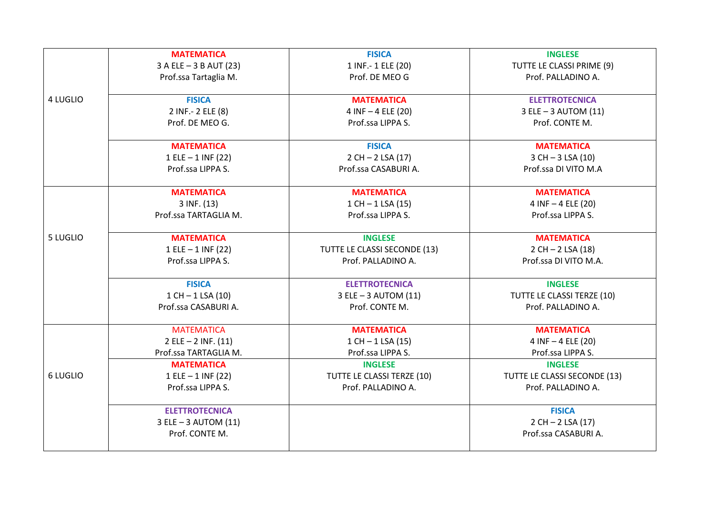|                 | <b>MATEMATICA</b>       | <b>FISICA</b>                | <b>INGLESE</b>               |
|-----------------|-------------------------|------------------------------|------------------------------|
|                 | 3 A ELE - 3 B AUT (23)  | 1 INF.-1 ELE (20)            | TUTTE LE CLASSI PRIME (9)    |
|                 | Prof.ssa Tartaglia M.   | Prof. DE MEO G               | Prof. PALLADINO A.           |
| 4 LUGLIO        | <b>FISICA</b>           | <b>MATEMATICA</b>            | <b>ELETTROTECNICA</b>        |
|                 | 2 INF.- 2 ELE (8)       | 4 INF - 4 ELE (20)           | 3 ELE - 3 AUTOM (11)         |
|                 | Prof. DE MEO G.         | Prof.ssa LIPPA S.            | Prof. CONTE M.               |
|                 | <b>MATEMATICA</b>       | <b>FISICA</b>                | <b>MATEMATICA</b>            |
|                 | $1 ELE - 1 INF (22)$    | $2 CH - 2 LSA (17)$          | $3 CH - 3 LSA (10)$          |
|                 | Prof.ssa LIPPA S.       | Prof.ssa CASABURI A.         | Prof.ssa DI VITO M.A         |
|                 | <b>MATEMATICA</b>       | <b>MATEMATICA</b>            | <b>MATEMATICA</b>            |
|                 | 3 INF. (13)             | $1 CH - 1 LSA(15)$           | 4 INF - 4 ELE (20)           |
|                 | Prof.ssa TARTAGLIA M.   | Prof.ssa LIPPA S.            | Prof.ssa LIPPA S.            |
| 5 LUGLIO        | <b>MATEMATICA</b>       | <b>INGLESE</b>               | <b>MATEMATICA</b>            |
|                 | $1 ELE - 1 INF (22)$    | TUTTE LE CLASSI SECONDE (13) | $2 CH - 2 LSA(18)$           |
|                 | Prof.ssa LIPPA S.       | Prof. PALLADINO A.           | Prof.ssa DI VITO M.A.        |
|                 | <b>FISICA</b>           | <b>ELETTROTECNICA</b>        | <b>INGLESE</b>               |
|                 | $1 CH - 1 LSA(10)$      | 3 ELE - 3 AUTOM (11)         | TUTTE LE CLASSI TERZE (10)   |
|                 | Prof.ssa CASABURI A.    | Prof. CONTE M.               | Prof. PALLADINO A.           |
|                 | <b>MATEMATICA</b>       | <b>MATEMATICA</b>            | <b>MATEMATICA</b>            |
|                 | $2$ ELE $- 2$ INF. (11) | $1$ CH $-$ 1 LSA (15)        | $4$ INF $-4$ ELE (20)        |
|                 | Prof.ssa TARTAGLIA M.   | Prof.ssa LIPPA S.            | Prof.ssa LIPPA S.            |
|                 | <b>MATEMATICA</b>       | <b>INGLESE</b>               | <b>INGLESE</b>               |
| <b>6 LUGLIO</b> | 1 ELE - 1 INF (22)      | TUTTE LE CLASSI TERZE (10)   | TUTTE LE CLASSI SECONDE (13) |
|                 | Prof.ssa LIPPA S.       | Prof. PALLADINO A.           | Prof. PALLADINO A.           |
|                 | <b>ELETTROTECNICA</b>   |                              | <b>FISICA</b>                |
|                 | 3 ELE - 3 AUTOM (11)    |                              | $2 CH - 2 LSA (17)$          |
|                 | Prof. CONTE M.          |                              | Prof.ssa CASABURI A.         |
|                 |                         |                              |                              |